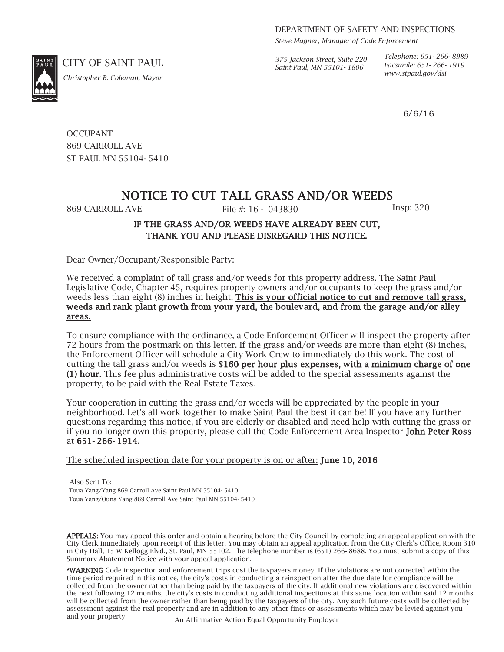*Steve Magner, Manager of Code Enforcement*

*Saint Paul, MN 55101- 1806*

*Telephone: 651- 266- 8989 Facsimile: 651- 266- 1919*

6/6/16

CITY OF SAINT PAUL *375 Jackson Street, Suite 220*

*www.stpaul.gov/dsi Christopher B. Coleman, Mayor*

**OCCUPANT** 869 CARROLL AVE ST PAUL MN 55104- 5410

## NOTICE TO CUT TALL GRASS AND/OR WEEDS

869 CARROLL AVE File #: 16 - 043830 Insp: 320

## IF THE GRASS AND/OR WEEDS HAVE ALREADY BEEN CUT, THANK YOU AND PLEASE DISREGARD THIS NOTICE.

Dear Owner/Occupant/Responsible Party:

We received a complaint of tall grass and/or weeds for this property address. The Saint Paul Legislative Code, Chapter 45, requires property owners and/or occupants to keep the grass and/or weeds less than eight (8) inches in height. This is your official notice to cut and remove tall grass, weeds and rank plant growth from your yard, the boulevard, and from the garage and/or alley areas.

To ensure compliance with the ordinance, a Code Enforcement Officer will inspect the property after 72 hours from the postmark on this letter. If the grass and/or weeds are more than eight (8) inches, the Enforcement Officer will schedule a City Work Crew to immediately do this work. The cost of cutting the tall grass and/or weeds is \$160 per hour plus expenses, with a minimum charge of one (1) hour. This fee plus administrative costs will be added to the special assessments against the property, to be paid with the Real Estate Taxes.

Your cooperation in cutting the grass and/or weeds will be appreciated by the people in your neighborhood. Let's all work together to make Saint Paul the best it can be! If you have any further questions regarding this notice, if you are elderly or disabled and need help with cutting the grass or if you no longer own this property, please call the Code Enforcement Area Inspector John Peter Ross at 651- 266- 1914.

The scheduled inspection date for your property is on or after: **June 10, 2016** 

Also Sent To: Toua Yang/Yang 869 Carroll Ave Saint Paul MN 55104- 5410 Toua Yang/Ouna Yang 869 Carroll Ave Saint Paul MN 55104- 5410

APPEALS: You may appeal this order and obtain a hearing before the City Council by completing an appeal application with the City Clerk immediately upon receipt of this letter. You may obtain an appeal application from the City Clerk's Office, Room 310 in City Hall, 15 W Kellogg Blvd., St. Paul, MN 55102. The telephone number is (651) 266- 8688. You must submit a copy of this Summary Abatement Notice with your appeal application.

\*WARNING Code inspection and enforcement trips cost the taxpayers money. If the violations are not corrected within the time period required in this notice, the city's costs in conducting a reinspection after the due date for compliance will be collected from the owner rather than being paid by the taxpayers of the city. If additional new violations are discovered within the next following 12 months, the city's costs in conducting additional inspections at this same location within said 12 months will be collected from the owner rather than being paid by the taxpayers of the city. Any such future costs will be collected by assessment against the real property and are in addition to any other fines or assessments which may be levied against you and your property. An Affirmative Action Equal Opportunity Employer